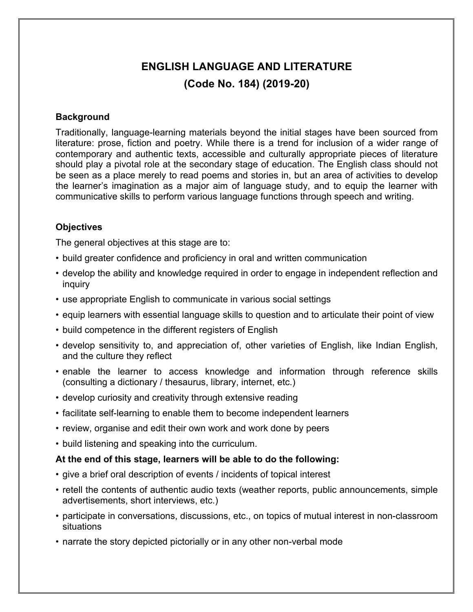# **ENGLISH LANGUAGE AND LITERATURE (Code No. 184) (2019-20)**

#### **Background**

Traditionally, language-learning materials beyond the initial stages have been sourced from literature: prose, fiction and poetry. While there is a trend for inclusion of a wider range of contemporary and authentic texts, accessible and culturally appropriate pieces of literature should play a pivotal role at the secondary stage of education. The English class should not be seen as a place merely to read poems and stories in, but an area of activities to develop the learner's imagination as a major aim of language study, and to equip the learner with communicative skills to perform various language functions through speech and writing.

#### **Objectives**

The general objectives at this stage are to:

- build greater confidence and proficiency in oral and written communication
- develop the ability and knowledge required in order to engage in independent reflection and inquiry
- use appropriate English to communicate in various social settings
- equip learners with essential language skills to question and to articulate their point of view
- build competence in the different registers of English
- develop sensitivity to, and appreciation of, other varieties of English, like Indian English, and the culture they reflect
- enable the learner to access knowledge and information through reference skills (consulting a dictionary / thesaurus, library, internet, etc.)
- develop curiosity and creativity through extensive reading
- facilitate self-learning to enable them to become independent learners
- review, organise and edit their own work and work done by peers
- build listening and speaking into the curriculum.

#### **At the end of this stage, learners will be able to do the following:**

- give a brief oral description of events / incidents of topical interest
- retell the contents of authentic audio texts (weather reports, public announcements, simple advertisements, short interviews, etc.)
- participate in conversations, discussions, etc., on topics of mutual interest in non-classroom situations
- narrate the story depicted pictorially or in any other non-verbal mode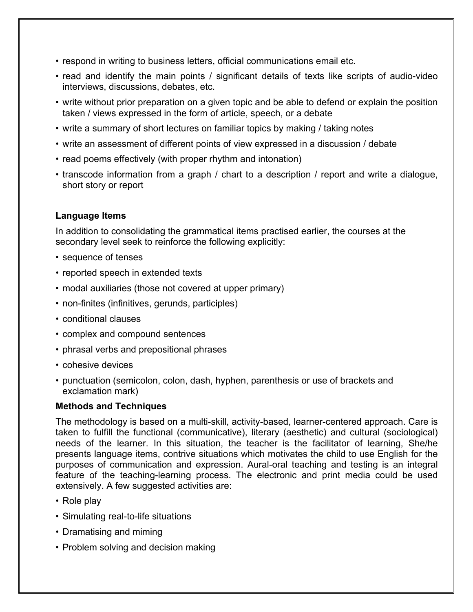- respond in writing to business letters, official communications email etc.
- read and identify the main points / significant details of texts like scripts of audio-video interviews, discussions, debates, etc.
- write without prior preparation on a given topic and be able to defend or explain the position taken / views expressed in the form of article, speech, or a debate
- write a summary of short lectures on familiar topics by making / taking notes
- write an assessment of different points of view expressed in a discussion / debate
- read poems effectively (with proper rhythm and intonation)
- transcode information from a graph / chart to a description / report and write a dialogue, short story or report

#### **Language Items**

In addition to consolidating the grammatical items practised earlier, the courses at the secondary level seek to reinforce the following explicitly:

- sequence of tenses
- reported speech in extended texts
- modal auxiliaries (those not covered at upper primary)
- non-finites (infinitives, gerunds, participles)
- conditional clauses
- complex and compound sentences
- phrasal verbs and prepositional phrases
- cohesive devices
- punctuation (semicolon, colon, dash, hyphen, parenthesis or use of brackets and exclamation mark)

#### **Methods and Techniques**

The methodology is based on a multi-skill, activity-based, learner-centered approach. Care is taken to fulfill the functional (communicative), literary (aesthetic) and cultural (sociological) needs of the learner. In this situation, the teacher is the facilitator of learning, She/he presents language items, contrive situations which motivates the child to use English for the purposes of communication and expression. Aural-oral teaching and testing is an integral feature of the teaching-learning process. The electronic and print media could be used extensively. A few suggested activities are:

- Role play
- Simulating real-to-life situations
- Dramatising and miming
- Problem solving and decision making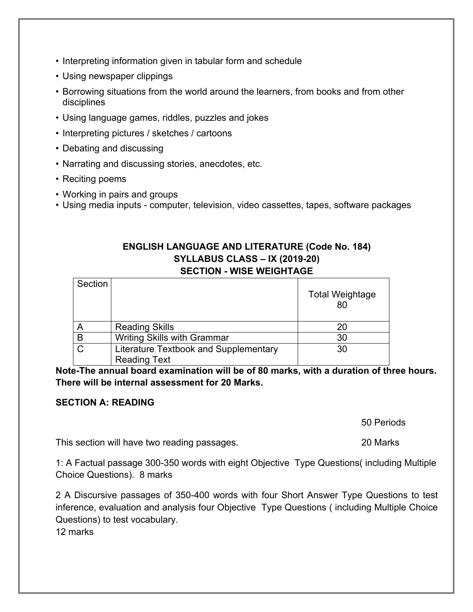- Interpreting information given in tabular form and schedule
- Using newspaper clippings
- Borrowing situations from the world around the learners, from books and from other disciplines
- Using language games, riddles, puzzles and jokes
- Interpreting pictures / sketches / cartoons
- Debating and discussing
- Narrating and discussing stories, anecdotes, etc.
- Reciting poems
- Working in pairs and groups
- Using media inputs computer, television, video cassettes, tapes, software packages

#### **ENGLISH LANGUAGE AND LITERATURE (Code No. 184) SYLLABUS CLASS – IX (2019-20) SECTION - WISE WEIGHTAGE**

| Section |                                       | <b>Total Weightage</b><br>80 |
|---------|---------------------------------------|------------------------------|
|         | <b>Reading Skills</b>                 | 20                           |
| B       | <b>Writing Skills with Grammar</b>    | 30                           |
| $\cap$  | Literature Textbook and Supplementary | 30                           |
|         | <b>Reading Text</b>                   |                              |

**Note-The annual board examination will be of 80 marks, with a duration of three hours. There will be internal assessment for 20 Marks.**

#### **SECTION A: READING**

50 Periods

This section will have two reading passages. 20 Marks

1: A Factual passage 300-350 words with eight Objective Type Questions( including Multiple Choice Questions). 8 marks

2 A Discursive passages of 350-400 words with four Short Answer Type Questions to test inference, evaluation and analysis four Objective Type Questions ( including Multiple Choice Questions) to test vocabulary.

12 marks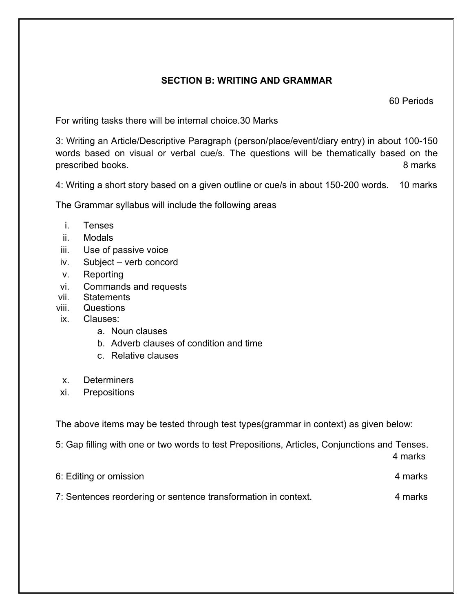# **SECTION B: WRITING AND GRAMMAR**

60 Periods

For writing tasks there will be internal choice.30 Marks

3: Writing an Article/Descriptive Paragraph (person/place/event/diary entry) in about 100-150 words based on visual or verbal cue/s. The questions will be thematically based on the prescribed books. 8 marks

4: Writing a short story based on a given outline or cue/s in about 150-200 words. 10 marks

The Grammar syllabus will include the following areas

- i. Tenses
- ii. Modals
- iii. Use of passive voice
- iv. Subject verb concord
- v. Reporting
- vi. Commands and requests
- vii. Statements
- viii. Questions
- ix. Clauses:
	- a. Noun clauses
	- b. Adverb clauses of condition and time
	- c. Relative clauses
- x. Determiners
- xi. Prepositions

The above items may be tested through test types(grammar in context) as given below:

5: Gap filling with one or two words to test Prepositions, Articles, Conjunctions and Tenses.

4 marks

| 6: Editing or omission                                         | 4 marks |  |
|----------------------------------------------------------------|---------|--|
| 7: Sentences reordering or sentence transformation in context. | 4 marks |  |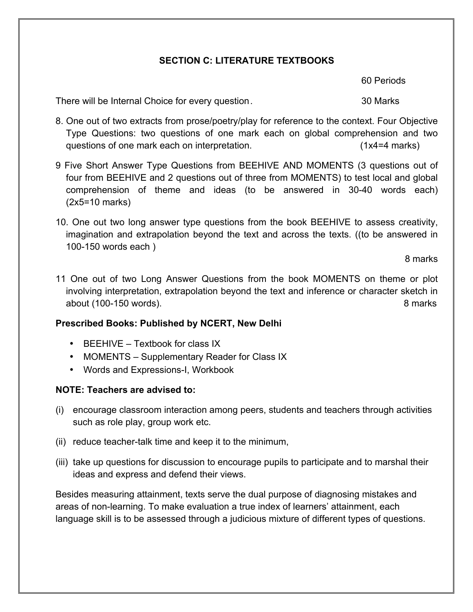### **SECTION C: LITERATURE TEXTBOOKS**

60 Periods

There will be Internal Choice for every question. There will be Internal Choice for every question.

- 8. One out of two extracts from prose/poetry/play for reference to the context. Four Objective Type Questions: two questions of one mark each on global comprehension and two questions of one mark each on interpretation. (1x4=4 marks)
- 9 Five Short Answer Type Questions from BEEHIVE AND MOMENTS (3 questions out of four from BEEHIVE and 2 questions out of three from MOMENTS) to test local and global comprehension of theme and ideas (to be answered in 30-40 words each) (2x5=10 marks)
- 10. One out two long answer type questions from the book BEEHIVE to assess creativity, imagination and extrapolation beyond the text and across the texts. ((to be answered in 100-150 words each )

8 marks

11 One out of two Long Answer Questions from the book MOMENTS on theme or plot involving interpretation, extrapolation beyond the text and inference or character sketch in about (100-150 words). 8 marks

#### **Prescribed Books: Published by NCERT, New Delhi**

- BEEHIVE Textbook for class IX
- MOMENTS Supplementary Reader for Class IX
- Words and Expressions-I, Workbook

#### **NOTE: Teachers are advised to:**

- (i) encourage classroom interaction among peers, students and teachers through activities such as role play, group work etc.
- (ii) reduce teacher-talk time and keep it to the minimum,
- (iii) take up questions for discussion to encourage pupils to participate and to marshal their ideas and express and defend their views.

Besides measuring attainment, texts serve the dual purpose of diagnosing mistakes and areas of non-learning. To make evaluation a true index of learners' attainment, each language skill is to be assessed through a judicious mixture of different types of questions.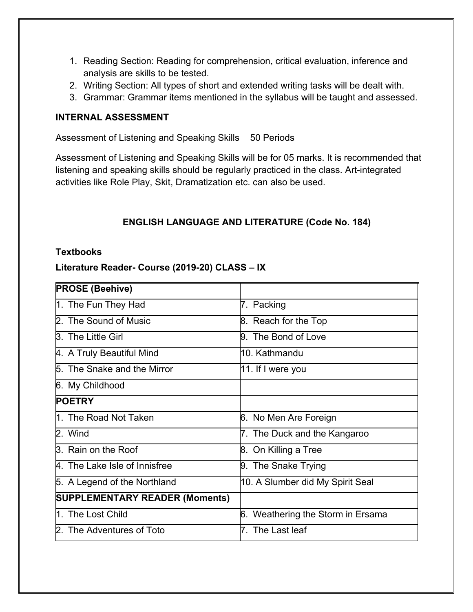- 1. Reading Section: Reading for comprehension, critical evaluation, inference and analysis are skills to be tested.
- 2. Writing Section: All types of short and extended writing tasks will be dealt with.
- 3. Grammar: Grammar items mentioned in the syllabus will be taught and assessed.

#### **INTERNAL ASSESSMENT**

Assessment of Listening and Speaking Skills 50 Periods

Assessment of Listening and Speaking Skills will be for 05 marks. It is recommended that listening and speaking skills should be regularly practiced in the class. Art-integrated activities like Role Play, Skit, Dramatization etc. can also be used.

# **ENGLISH LANGUAGE AND LITERATURE (Code No. 184)**

#### **Textbooks**

#### **Literature Reader- Course (2019-20) CLASS – IX**

| <b>PROSE (Beehive)</b>                |                                   |
|---------------------------------------|-----------------------------------|
| 1. The Fun They Had                   | 7. Packing                        |
| 2. The Sound of Music                 | 8. Reach for the Top              |
| 3. The Little Girl                    | 9. The Bond of Love               |
| 4. A Truly Beautiful Mind             | 10. Kathmandu                     |
| 5. The Snake and the Mirror           | 11. If I were you                 |
| 6. My Childhood                       |                                   |
| <b>POETRY</b>                         |                                   |
| 1. The Road Not Taken                 | 6. No Men Are Foreign             |
| 2. Wind                               | 7. The Duck and the Kangaroo      |
| 3. Rain on the Roof                   | 8. On Killing a Tree              |
| 4. The Lake Isle of Innisfree         | 9. The Snake Trying               |
| 5. A Legend of the Northland          | 10. A Slumber did My Spirit Seal  |
| <b>SUPPLEMENTARY READER (Moments)</b> |                                   |
| 1. The Lost Child                     | 6. Weathering the Storm in Ersama |
| 2. The Adventures of Toto             | The Last leaf                     |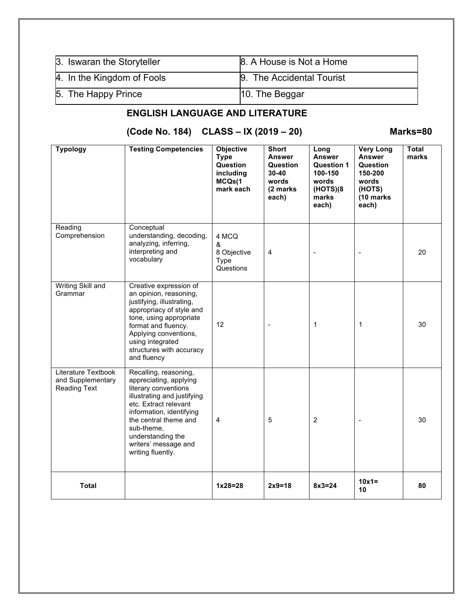| 3. Iswaran the Storyteller | 8. A House is Not a Home  |
|----------------------------|---------------------------|
| 4. In the Kingdom of Fools | 9. The Accidental Tourist |
| 5. The Happy Prince        | 10. The Beggar            |

# **ENGLISH LANGUAGE AND LITERATURE**

**(Code No. 184) CLASS – IX (2019 – 20) Marks=80**

| <b>Typology</b>                                          | <b>Testing Competencies</b>                                                                                                                                                                                                                                          | Objective<br><b>Type</b><br>Question<br>including<br>MCQs(1<br>mark each | <b>Short</b><br><b>Answer</b><br>Question<br>$30 - 40$<br>words<br>(2 marks<br>each) | Long<br><b>Answer</b><br>Question 1<br>100-150<br>words<br>(HOTS)(8)<br>marks<br>each) | <b>Very Long</b><br>Answer<br>Question<br>150-200<br>words<br>(HOTS)<br>(10 marks<br>each) | <b>Total</b><br>marks |
|----------------------------------------------------------|----------------------------------------------------------------------------------------------------------------------------------------------------------------------------------------------------------------------------------------------------------------------|--------------------------------------------------------------------------|--------------------------------------------------------------------------------------|----------------------------------------------------------------------------------------|--------------------------------------------------------------------------------------------|-----------------------|
| Reading<br>Comprehension                                 | Conceptual<br>understanding, decoding,<br>analyzing, inferring,<br>interpreting and<br>vocabulary                                                                                                                                                                    | 4 MCQ<br>&<br>8 Objective<br>Type<br>Questions                           | $\overline{4}$                                                                       | $\overline{a}$                                                                         |                                                                                            | 20                    |
| Writing Skill and<br>Grammar                             | Creative expression of<br>an opinion, reasoning,<br>justifying, illustrating,<br>appropriacy of style and<br>tone, using appropriate<br>format and fluency.<br>Applying conventions,<br>using integrated<br>structures with accuracy<br>and fluency                  | 12                                                                       | $\overline{\phantom{a}}$                                                             | 1                                                                                      | 1                                                                                          | 30                    |
| Literature Textbook<br>and Supplementary<br>Reading Text | Recalling, reasoning,<br>appreciating, applying<br>literary conventions<br>illustrating and justifying<br>etc. Extract relevant<br>information, identifying<br>the central theme and<br>sub-theme,<br>understanding the<br>writers' message and<br>writing fluently. | 4                                                                        | 5                                                                                    | $\overline{2}$                                                                         |                                                                                            | 30                    |
| <b>Total</b>                                             |                                                                                                                                                                                                                                                                      | $1x28=28$                                                                | $2x9=18$                                                                             | $8x3=24$                                                                               | $10x1=$<br>10                                                                              | 80                    |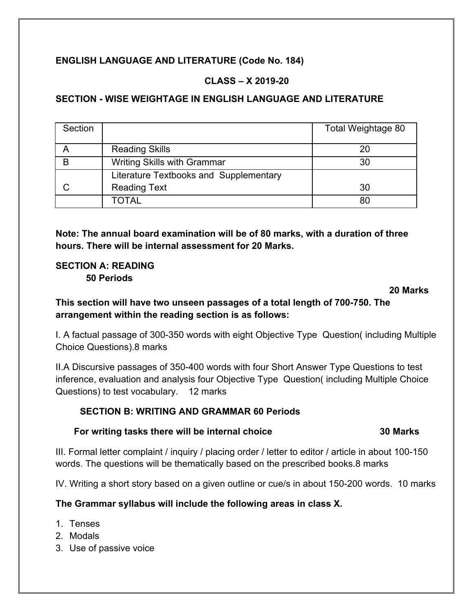# **ENGLISH LANGUAGE AND LITERATURE (Code No. 184)**

# **CLASS – X 2019-20**

### **SECTION - WISE WEIGHTAGE IN ENGLISH LANGUAGE AND LITERATURE**

| Section |                                        | Total Weightage 80 |
|---------|----------------------------------------|--------------------|
|         | <b>Reading Skills</b>                  | 20                 |
| B       | <b>Writing Skills with Grammar</b>     | 30                 |
|         | Literature Textbooks and Supplementary |                    |
|         | <b>Reading Text</b>                    | 30                 |
|         | TOTAL                                  | 80                 |

**Note: The annual board examination will be of 80 marks, with a duration of three hours. There will be internal assessment for 20 Marks.**

### **SECTION A: READING 50 Periods**

#### **20 Marks**

**This section will have two unseen passages of a total length of 700-750. The arrangement within the reading section is as follows:**

I. A factual passage of 300-350 words with eight Objective Type Question( including Multiple Choice Questions).8 marks

II.A Discursive passages of 350-400 words with four Short Answer Type Questions to test inference, evaluation and analysis four Objective Type Question( including Multiple Choice Questions) to test vocabulary. 12 marks

#### **SECTION B: WRITING AND GRAMMAR 60 Periods**

#### **For writing tasks there will be internal choice 30 Marks**

III. Formal letter complaint / inquiry / placing order / letter to editor / article in about 100-150 words. The questions will be thematically based on the prescribed books.8 marks

IV. Writing a short story based on a given outline or cue/s in about 150-200 words. 10 marks

#### **The Grammar syllabus will include the following areas in class X.**

- 1. Tenses
- 2. Modals
- 3. Use of passive voice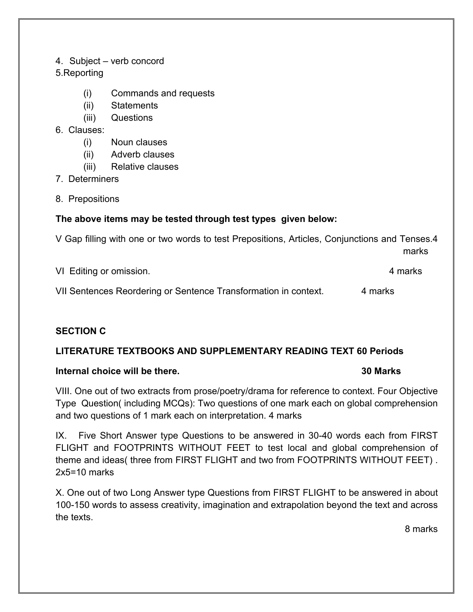#### 4. Subject – verb concord

#### 5.Reporting

- (i) Commands and requests
- (ii) Statements
- (iii) Questions
- 6. Clauses:
	- (i) Noun clauses
	- (ii) Adverb clauses
	- (iii) Relative clauses
- 7. Determiners
- 8. Prepositions

#### **The above items may be tested through test types given below:**

V Gap filling with one or two words to test Prepositions, Articles, Conjunctions and Tenses.4 marks

| VI Editing or omission.                                         | 4 marks |
|-----------------------------------------------------------------|---------|
| VII Sentences Reordering or Sentence Transformation in context. | 4 marks |

#### **SECTION C**

#### **LITERATURE TEXTBOOKS AND SUPPLEMENTARY READING TEXT 60 Periods**

#### **Internal choice will be there. 30 Marks**

VIII. One out of two extracts from prose/poetry/drama for reference to context. Four Objective Type Question( including MCQs): Two questions of one mark each on global comprehension and two questions of 1 mark each on interpretation. 4 marks

IX. Five Short Answer type Questions to be answered in 30-40 words each from FIRST FLIGHT and FOOTPRINTS WITHOUT FEET to test local and global comprehension of theme and ideas( three from FIRST FLIGHT and two from FOOTPRINTS WITHOUT FEET) . 2x5=10 marks

X. One out of two Long Answer type Questions from FIRST FLIGHT to be answered in about 100-150 words to assess creativity, imagination and extrapolation beyond the text and across the texts.

8 marks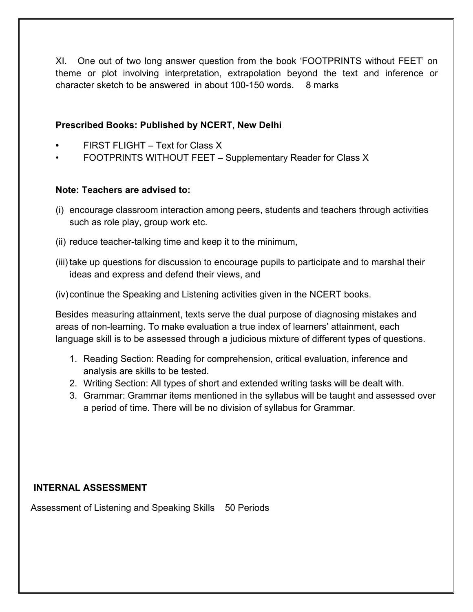XI. One out of two long answer question from the book 'FOOTPRINTS without FEET' on theme or plot involving interpretation, extrapolation beyond the text and inference or character sketch to be answered in about 100-150 words. 8 marks

### **Prescribed Books: Published by NCERT, New Delhi**

- **•** FIRST FLIGHT Text for Class X
- FOOTPRINTS WITHOUT FEET Supplementary Reader for Class X

#### **Note: Teachers are advised to:**

- (i) encourage classroom interaction among peers, students and teachers through activities such as role play, group work etc.
- (ii) reduce teacher-talking time and keep it to the minimum,
- (iii) take up questions for discussion to encourage pupils to participate and to marshal their ideas and express and defend their views, and
- (iv)continue the Speaking and Listening activities given in the NCERT books.

Besides measuring attainment, texts serve the dual purpose of diagnosing mistakes and areas of non-learning. To make evaluation a true index of learners' attainment, each language skill is to be assessed through a judicious mixture of different types of questions.

- 1. Reading Section: Reading for comprehension, critical evaluation, inference and analysis are skills to be tested.
- 2. Writing Section: All types of short and extended writing tasks will be dealt with.
- 3. Grammar: Grammar items mentioned in the syllabus will be taught and assessed over a period of time. There will be no division of syllabus for Grammar.

#### **INTERNAL ASSESSMENT**

Assessment of Listening and Speaking Skills 50 Periods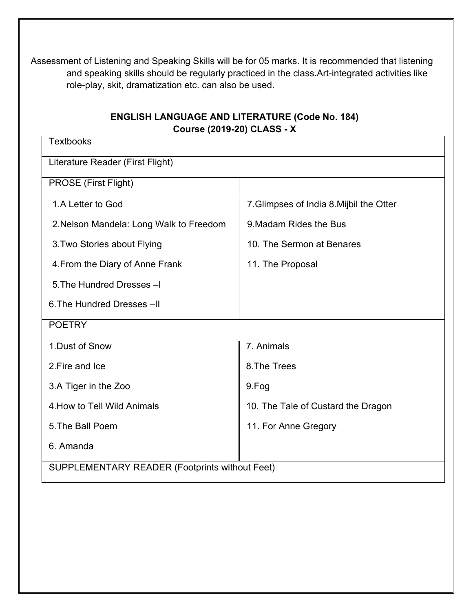Assessment of Listening and Speaking Skills will be for 05 marks. It is recommended that listening and speaking skills should be regularly practiced in the class**.**Art-integrated activities like role-play, skit, dramatization etc. can also be used.

# **ENGLISH LANGUAGE AND LITERATURE (Code No. 184) Course (2019-20) CLASS - X**

| <b>Textbooks</b>                               |                                          |  |  |  |
|------------------------------------------------|------------------------------------------|--|--|--|
| Literature Reader (First Flight)               |                                          |  |  |  |
| PROSE (First Flight)                           |                                          |  |  |  |
| 1.A Letter to God                              | 7. Glimpses of India 8. Mijbil the Otter |  |  |  |
| 2. Nelson Mandela: Long Walk to Freedom        | 9. Madam Rides the Bus                   |  |  |  |
| 3. Two Stories about Flying                    | 10. The Sermon at Benares                |  |  |  |
| 4. From the Diary of Anne Frank                | 11. The Proposal                         |  |  |  |
| 5. The Hundred Dresses -I                      |                                          |  |  |  |
| 6. The Hundred Dresses -II                     |                                          |  |  |  |
| <b>POETRY</b>                                  |                                          |  |  |  |
| 1.Dust of Snow                                 | 7. Animals                               |  |  |  |
| 2. Fire and Ice                                | 8. The Trees                             |  |  |  |
| 3.A Tiger in the Zoo                           | 9.Fog                                    |  |  |  |
| 4. How to Tell Wild Animals                    | 10. The Tale of Custard the Dragon       |  |  |  |
| 5. The Ball Poem                               | 11. For Anne Gregory                     |  |  |  |
| 6. Amanda                                      |                                          |  |  |  |
| SUPPLEMENTARY READER (Footprints without Feet) |                                          |  |  |  |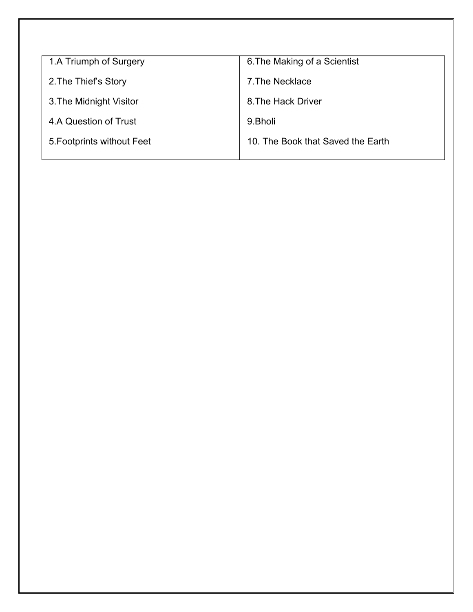| 1.A Triumph of Surgery     | 6. The Making of a Scientist      |
|----------------------------|-----------------------------------|
| 2. The Thief's Story       | 7. The Necklace                   |
| 3. The Midnight Visitor    | 8. The Hack Driver                |
| 4.A Question of Trust      | 9.Bholi                           |
| 5. Footprints without Feet | 10. The Book that Saved the Earth |
|                            |                                   |